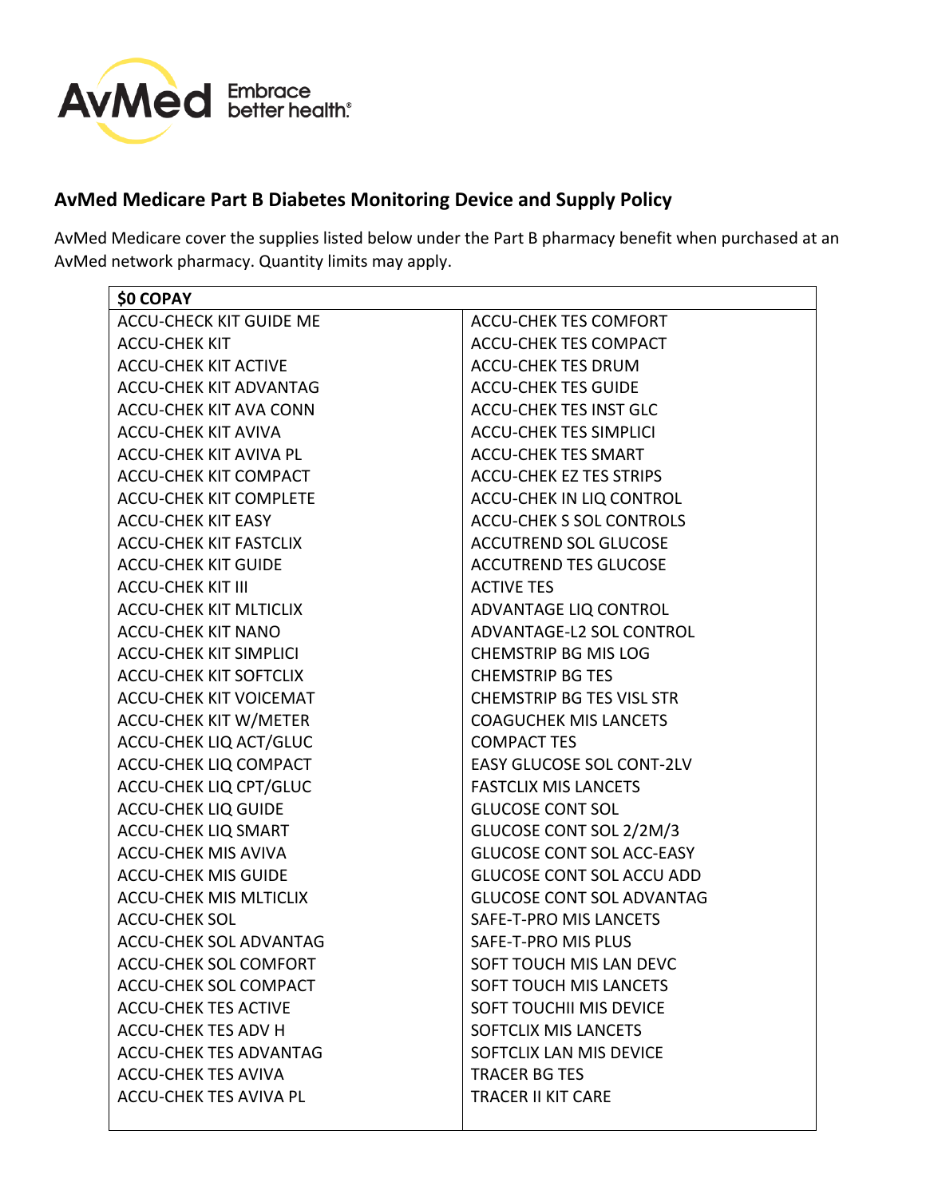

## **AvMed Medicare Part B Diabetes Monitoring Device and Supply Policy**

AvMed Medicare cover the supplies listed below under the Part B pharmacy benefit when purchased at an AvMed network pharmacy. Quantity limits may apply.

| <b>\$0 COPAY</b>               |                                  |
|--------------------------------|----------------------------------|
| <b>ACCU-CHECK KIT GUIDE ME</b> | <b>ACCU-CHEK TES COMFORT</b>     |
| <b>ACCU-CHEK KIT</b>           | ACCU-CHEK TES COMPACT            |
| <b>ACCU-CHEK KIT ACTIVE</b>    | <b>ACCU-CHEK TES DRUM</b>        |
| <b>ACCU-CHEK KIT ADVANTAG</b>  | <b>ACCU-CHEK TES GUIDE</b>       |
| <b>ACCU-CHEK KIT AVA CONN</b>  | <b>ACCU-CHEK TES INST GLC</b>    |
| <b>ACCU-CHEK KIT AVIVA</b>     | <b>ACCU-CHEK TES SIMPLICI</b>    |
| <b>ACCU-CHEK KIT AVIVA PL</b>  | <b>ACCU-CHEK TES SMART</b>       |
| <b>ACCU-CHEK KIT COMPACT</b>   | <b>ACCU-CHEK EZ TES STRIPS</b>   |
| <b>ACCU-CHEK KIT COMPLETE</b>  | ACCU-CHEK IN LIQ CONTROL         |
| <b>ACCU-CHEK KIT EASY</b>      | <b>ACCU-CHEK S SOL CONTROLS</b>  |
| <b>ACCU-CHEK KIT FASTCLIX</b>  | <b>ACCUTREND SOL GLUCOSE</b>     |
| <b>ACCU-CHEK KIT GUIDE</b>     | <b>ACCUTREND TES GLUCOSE</b>     |
| <b>ACCU-CHEK KIT III</b>       | <b>ACTIVE TES</b>                |
| <b>ACCU-CHEK KIT MLTICLIX</b>  | ADVANTAGE LIQ CONTROL            |
| <b>ACCU-CHEK KIT NANO</b>      | ADVANTAGE-L2 SOL CONTROL         |
| <b>ACCU-CHEK KIT SIMPLICI</b>  | <b>CHEMSTRIP BG MIS LOG</b>      |
| <b>ACCU-CHEK KIT SOFTCLIX</b>  | <b>CHEMSTRIP BG TES</b>          |
| <b>ACCU-CHEK KIT VOICEMAT</b>  | <b>CHEMSTRIP BG TES VISL STR</b> |
| <b>ACCU-CHEK KIT W/METER</b>   | <b>COAGUCHEK MIS LANCETS</b>     |
| ACCU-CHEK LIQ ACT/GLUC         | <b>COMPACT TES</b>               |
| <b>ACCU-CHEK LIQ COMPACT</b>   | <b>EASY GLUCOSE SOL CONT-2LV</b> |
| <b>ACCU-CHEK LIQ CPT/GLUC</b>  | <b>FASTCLIX MIS LANCETS</b>      |
| <b>ACCU-CHEK LIQ GUIDE</b>     | <b>GLUCOSE CONT SOL</b>          |
| <b>ACCU-CHEK LIQ SMART</b>     | GLUCOSE CONT SOL 2/2M/3          |
| <b>ACCU-CHEK MIS AVIVA</b>     | <b>GLUCOSE CONT SOL ACC-EASY</b> |
| <b>ACCU-CHEK MIS GUIDE</b>     | <b>GLUCOSE CONT SOL ACCU ADD</b> |
| <b>ACCU-CHEK MIS MLTICLIX</b>  | <b>GLUCOSE CONT SOL ADVANTAG</b> |
| <b>ACCU-CHEK SOL</b>           | SAFE-T-PRO MIS LANCETS           |
| <b>ACCU-CHEK SOL ADVANTAG</b>  | SAFE-T-PRO MIS PLUS              |
| ACCU-CHEK SOL COMFORT          | SOFT TOUCH MIS LAN DEVC          |
| ACCU-CHEK SOL COMPACT          | SOFT TOUCH MIS LANCETS           |
| <b>ACCU-CHEK TES ACTIVE</b>    | SOFT TOUCHII MIS DEVICE          |
| <b>ACCU-CHEK TES ADV H</b>     | SOFTCLIX MIS LANCETS             |
| <b>ACCU-CHEK TES ADVANTAG</b>  | SOFTCLIX LAN MIS DEVICE          |
| <b>ACCU-CHEK TES AVIVA</b>     | <b>TRACER BG TES</b>             |
| ACCU-CHEK TES AVIVA PL         | <b>TRACER II KIT CARE</b>        |
|                                |                                  |